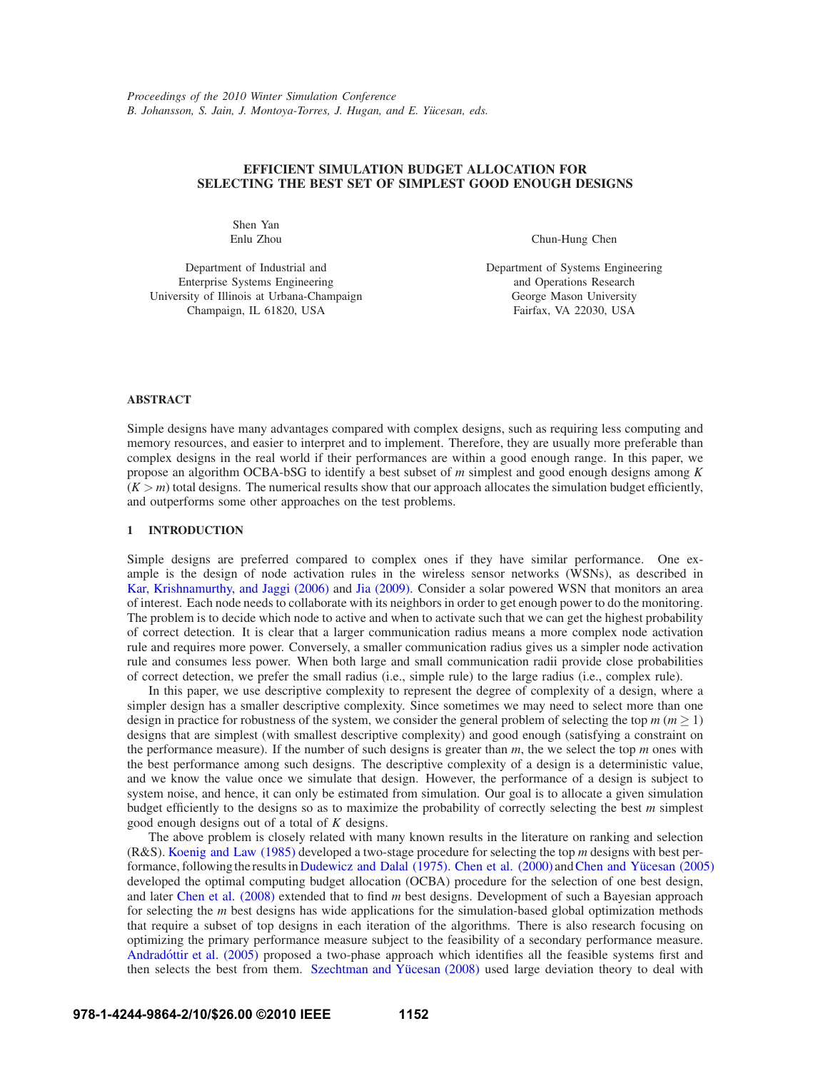# **EFFICIENT SIMULATION BUDGET ALLOCATION FOR SELECTING THE BEST SET OF SIMPLEST GOOD ENOUGH DESIGNS**

Shen Yan Enlu Zhou

Department of Industrial and Enterprise Systems Engineering University of Illinois at Urbana-Champaign Champaign, IL 61820, USA

Chun-Hung Chen

Department of Systems Engineering and Operations Research George Mason University Fairfax, VA 22030, USA

# **ABSTRACT**

Simple designs have many advantages compared with complex designs, such as requiring less computing and memory resources, and easier to interpret and to implement. Therefore, they are usually more preferable than complex designs in the real world if their performances are within a good enough range. In this paper, we propose an algorithm OCBA-bSG to identify a best subset of *m* simplest and good enough designs among *K*  $(K > m)$  total designs. The numerical results show that our approach allocates the simulation budget efficiently, and outperforms some other approaches on the test problems.

# **1 INTRODUCTION**

Simple designs are preferred compared to complex ones if they have similar performance. One example is the design of node activation rules in the wireless sensor networks (WSNs), as described in Kar, Krishnamurthy, and Jaggi (2006) and Jia (2009). Consider a solar powered WSN that monitors an area of interest. Each node needs to collaborate with its neighbors in order to get enough power to do the monitoring. The problem is to decide which node to active and when to activate such that we can get the highest probability of correct detection. It is clear that a larger communication radius means a more complex node activation rule and requires more power. Conversely, a smaller communication radius gives us a simpler node activation rule and consumes less power. When both large and small communication radii provide close probabilities of correct detection, we prefer the small radius (i.e., simple rule) to the large radius (i.e., complex rule).

In this paper, we use descriptive complexity to represent the degree of complexity of a design, where a simpler design has a smaller descriptive complexity. Since sometimes we may need to select more than one design in practice for robustness of the system, we consider the general problem of selecting the top  $m (m \ge 1)$ designs that are simplest (with smallest descriptive complexity) and good enough (satisfying a constraint on the performance measure). If the number of such designs is greater than  $m$ , the we select the top  $m$  ones with the best performance among such designs. The descriptive complexity of a design is a deterministic value, and we know the value once we simulate that design. However, the performance of a design is subject to system noise, and hence, it can only be estimated from simulation. Our goal is to allocate a given simulation budget efficiently to the designs so as to maximize the probability of correctly selecting the best *m* simplest good enough designs out of a total of *K* designs.

The above problem is closely related with many known results in the literature on ranking and selection (R&S). Koenig and Law (1985) developed a two-stage procedure for selecting the top *m* designs with best performance, following the results in Dudewicz and Dalal (1975). Chen et al. (2000) and Chen and Yücesan (2005) developed the optimal computing budget allocation (OCBA) procedure for the selection of one best design, and later Chen et al. (2008) extended that to find *m* best designs. Development of such a Bayesian approach for selecting the *m* best designs has wide applications for the simulation-based global optimization methods that require a subset of top designs in each iteration of the algorithms. There is also research focusing on optimizing the primary performance measure subject to the feasibility of a secondary performance measure. Andradóttir et al. (2005) proposed a two-phase approach which identifies all the feasible systems first and then selects the best from them. Szechtman and Yücesan (2008) used large deviation theory to deal with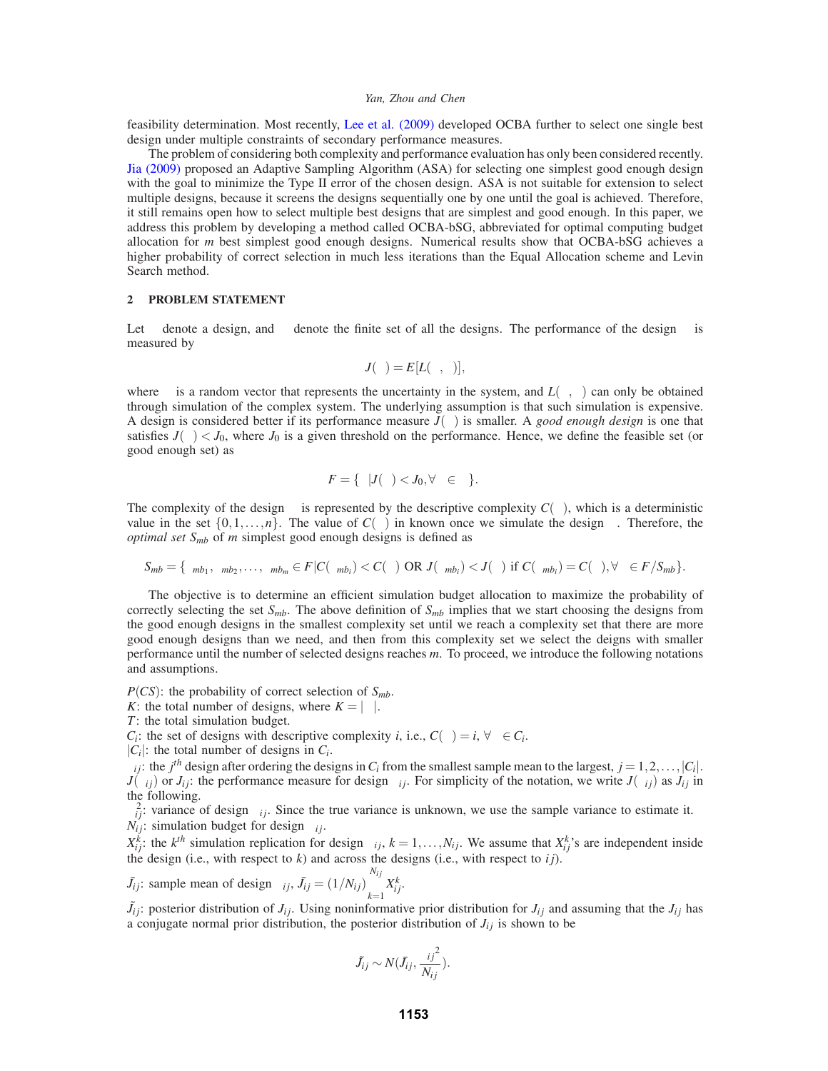feasibility determination. Most recently, Lee et al. (2009) developed OCBA further to select one single best design under multiple constraints of secondary performance measures.

The problem of considering both complexity and performance evaluation has only been considered recently. Jia (2009) proposed an Adaptive Sampling Algorithm (ASA) for selecting one simplest good enough design with the goal to minimize the Type II error of the chosen design. ASA is not suitable for extension to select multiple designs, because it screens the designs sequentially one by one until the goal is achieved. Therefore, it still remains open how to select multiple best designs that are simplest and good enough. In this paper, we address this problem by developing a method called OCBA-bSG, abbreviated for optimal computing budget allocation for *m* best simplest good enough designs. Numerical results show that OCBA-bSG achieves a higher probability of correct selection in much less iterations than the Equal Allocation scheme and Levin Search method.

## **2 PROBLEM STATEMENT**

Let  $\theta$  denote a design, and  $\Theta$  denote the finite set of all the designs. The performance of the design  $\theta$  is measured by

$$
J(\theta) = E[L(\theta, \zeta)],
$$

where  $\zeta$  is a random vector that represents the uncertainty in the system, and  $L(\theta, \zeta)$  can only be obtained through simulation of the complex system. The underlying assumption is that such simulation is expensive. A design is considered better if its performance measure *J*(θ) is smaller. A *good enough design* is one that satisfies  $J(\theta) < J_0$ , where  $J_0$  is a given threshold on the performance. Hence, we define the feasible set (or good enough set) as

$$
F = \{ \theta | J(\theta) < J_0, \forall \theta \in \Theta \}.
$$

The complexity of the design  $\theta$  is represented by the descriptive complexity  $C(\theta)$ , which is a deterministic value in the set  $\{0,1,\ldots,n\}$ . The value of  $C(\theta)$  in known once we simulate the design  $\theta$ . Therefore, the *optimal set Smb* of *m* simplest good enough designs is defined as

$$
S_{mb} = \{ \theta_{mb_1}, \theta_{mb_2}, \dots, \theta_{mb_m} \in F | C(\theta_{mb_i}) < C(\theta) \text{ OR } J(\theta_{mb_i}) < J(\theta) \text{ if } C(\theta_{mb_i}) = C(\theta), \forall \theta \in F / S_{mb} \}.
$$

The objective is to determine an efficient simulation budget allocation to maximize the probability of correctly selecting the set  $S_{mb}$ . The above definition of  $S_{mb}$  implies that we start choosing the designs from the good enough designs in the smallest complexity set until we reach a complexity set that there are more good enough designs than we need, and then from this complexity set we select the deigns with smaller performance until the number of selected designs reaches *m*. To proceed, we introduce the following notations and assumptions.

 $P(CS)$ : the probability of correct selection of  $S_{mb}$ .

*K*: the total number of designs, where  $K = |\Theta|$ .

*T*: the total simulation budget.

*C<sub>i</sub>*: the set of designs with descriptive complexity *i*, i.e.,  $C(\theta) = i$ ,  $\forall \theta \in C_i$ .

 $|C_i|$ : the total number of designs in  $C_i$ .

 $\theta_{ij}$ : the *j*<sup>th</sup> design after ordering the designs in  $C_i$  from the smallest sample mean to the largest,  $j = 1, 2, \ldots, |C_i|$ .  $J(\theta_{ij})$  or  $J_{ij}$ : the performance measure for design  $\theta_{ij}$ . For simplicity of the notation, we write  $J(\theta_{ij})$  as  $J_{ij}$  in the following.

 $\sigma_{ij}^2$ : variance of design  $\theta_{ij}$ . Since the true variance is unknown, we use the sample variance to estimate it.  $N_{ij}$ : simulation budget for design  $\theta_{ij}$ .

 $X_{ij}^k$ : the  $k^{th}$  simulation replication for design  $\theta_{ij}$ ,  $k = 1, \ldots, N_{ij}$ . We assume that  $X_{ij}^k$ 's are independent inside the design (i.e., with respect to  $k$ ) and across the designs (i.e., with respect to  $ij$ ).

 $\bar{J}_{ij}$ : sample mean of design  $\theta_{ij}$ ,  $\bar{J}_{ij} = (1/N_{ij})$  $N_{ij}$ ∑ *k*=1  $X_{ij}^k$ .

 $\tilde{J}_{ij}$ : posterior distribution of  $J_{ij}$ . Using noninformative prior distribution for  $J_{ij}$  and assuming that the  $J_{ij}$  has a conjugate normal prior distribution, the posterior distribution of  $J_{ij}$  is shown to be

$$
\tilde{J}_{ij} \sim N(\bar{J}_{ij}, \frac{{\sigma_{ij}}^2}{N_{ij}}).
$$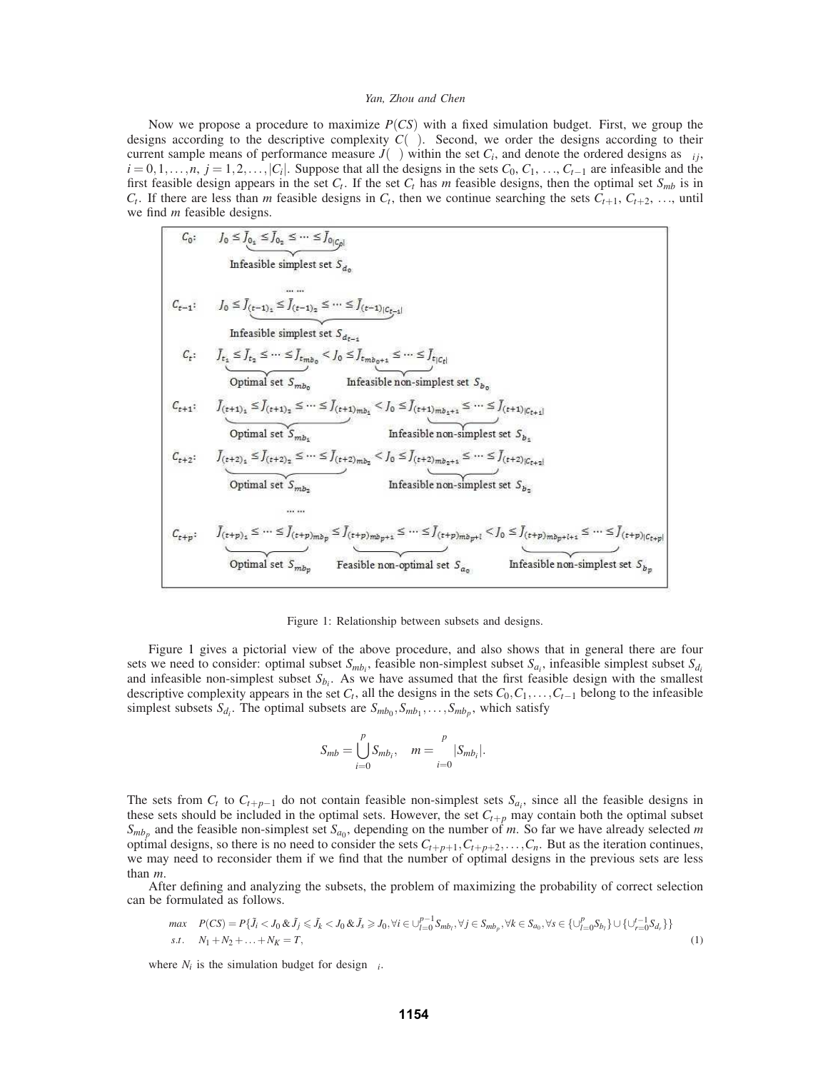Now we propose a procedure to maximize *P*(*CS*) with a fixed simulation budget. First, we group the designs according to the descriptive complexity  $C(\theta)$ . Second, we order the designs according to their current sample means of performance measure  $J(\theta)$  within the set  $C_i$ , and denote the ordered designs as  $\theta_{ij}$ ,  $i = 0, 1, \ldots, n$ ,  $j = 1, 2, \ldots, |C_i|$ . Suppose that all the designs in the sets  $C_0, C_1, \ldots, C_{t-1}$  are infeasible and the first feasible design appears in the set  $C_t$ . If the set  $C_t$  has *m* feasible designs, then the optimal set  $S_{mb}$  is in  $C_t$ . If there are less than *m* feasible designs in  $C_t$ , then we continue searching the sets  $C_{t+1}$ ,  $C_{t+2}$ , ..., until we find *m* feasible designs.

$$
C_0: \tJ_0 \leq J_{0_2} \leq J_{0_2} \leq \cdots \leq J_{0|C_{\rho}|}
$$
  
\nInfeasible simplest set  $S_{d_0}$   
\n
$$
C_{t-1}: \tJ_0 \leq J_{(t-1)_2} \leq J_{(t-1)_2} \leq \cdots \leq J_{(t-1)|C_{\rho-4}|}
$$
  
\nInfeasible simplest set  $S_{d_{t-1}}$   
\n
$$
C_t: \tJ_{t_2} \leq J_{t_2} \leq \cdots \leq J_{t_m b_0} < J_0 \leq J_{t_m b_{\rho+1}} \leq \cdots \leq J_{t|C_t|}
$$
  
\n
$$
Optimal set S_{mb_0}
$$
  
\n
$$
C_{t+1}: \tJ_{(t+1)_1} \leq J_{(t+1)_2} \leq \cdots \leq J_{(t+1)m b_1} < J_0 \leq J_{(t+1)m b_1+1} \leq \cdots \leq J_{(t+1)|C_{t+1}|}
$$
  
\n
$$
Optimal set S_{mb_2}
$$
  
\n
$$
C_{t+2}: \tJ_{(t+2)_2} \leq J_{(t+2)_2} \leq \cdots \leq J_{(t+2)m b_2} < J_0 \leq J_{(t+2)m b_2+1} \leq \cdots \leq J_{(t+2)|C_{t+2}|}
$$
  
\n
$$
Optimal set S_{mb_2}
$$
  
\n
$$
\cdots \cdots
$$
  
\n
$$
C_{t+p}: \tJ_{(t+p)_2} \leq \cdots \leq J_{(t+p)m b_p} \leq J_{(t+p)m b_{p+1}} \leq \cdots \leq J_{(t+p)m b_{p+1}} < J_0 \leq J_{(t+p)m b_{p+1+1}} \leq \cdots \leq J_{(t+p)C_{t+p}|}
$$
  
\n
$$
Optimal set S_{mb_p}
$$
  
\n
$$
\vdots \tJ_{(t+p)_{t}} \leq \cdots \leq J_{(t+p)m b_p} \leq J_{(t+p)m b_{p+1}} \leq \cdots \leq J_{(t+p)m b_{p+1}} < J_0 \leq J_{(t+p)m b_{p
$$

Figure 1: Relationship between subsets and designs.

Figure 1 gives a pictorial view of the above procedure, and also shows that in general there are four sets we need to consider: optimal subset  $S_{mb_i}$ , feasible non-simplest subset  $S_{a_i}$ , infeasible simplest subset  $S_{d_i}$ and infeasible non-simplest subset  $S_{b_i}$ . As we have assumed that the first feasible design with the smallest descriptive complexity appears in the set  $C_t$ , all the designs in the sets  $C_0, C_1, \ldots, C_{t-1}$  belong to the infeasible simplest subsets  $S_{d_i}$ . The optimal subsets are  $S_{mb_0}, S_{mb_1}, \ldots, S_{mb_p}$ , which satisfy

$$
S_{mb} = \bigcup_{i=0}^{p} S_{mb_i}, \quad m = \sum_{i=0}^{p} |S_{mb_i}|.
$$

The sets from  $C_t$  to  $C_{t+p-1}$  do not contain feasible non-simplest sets  $S_{a_i}$ , since all the feasible designs in these sets should be included in the optimal sets. However, the set  $C_{t+p}$  may contain both the optimal subset  $S_{mbp}$  and the feasible non-simplest set  $S_{a_0}$ , depending on the number of *m*. So far we have already selected *m* optimal designs, so there is no need to consider the sets  $C_{t+p+1}, C_{t+p+2}, \ldots, C_n$ . But as the iteration continues, we may need to reconsider them if we find that the number of optimal designs in the previous sets are less

than *m*.<br>After defining and analyzing the subsets, the problem of maximizing the probability of correct selection can be formulated as follows.

$$
\begin{aligned}\n\max \quad & P(CS) = P\{\tilde{J}_i < J_0 \&\tilde{J}_j \leq \tilde{J}_k < J_0 \&\tilde{J}_s \geq J_0, \forall i \in \bigcup_{l=0}^{p-1} S_{m b_l}, \forall j \in S_{m b_p}, \forall k \in S_{a_0}, \forall s \in \{\bigcup_{l=0}^p S_{b_l}\} \cup \{\bigcup_{r=0}^{t-1} S_{d_r}\}\} \\
\text{s.t.} \quad & N_1 + N_2 + \dots + N_K = T,\n\end{aligned}\n\tag{1}
$$

where  $N_i$  is the simulation budget for design  $\theta_i$ .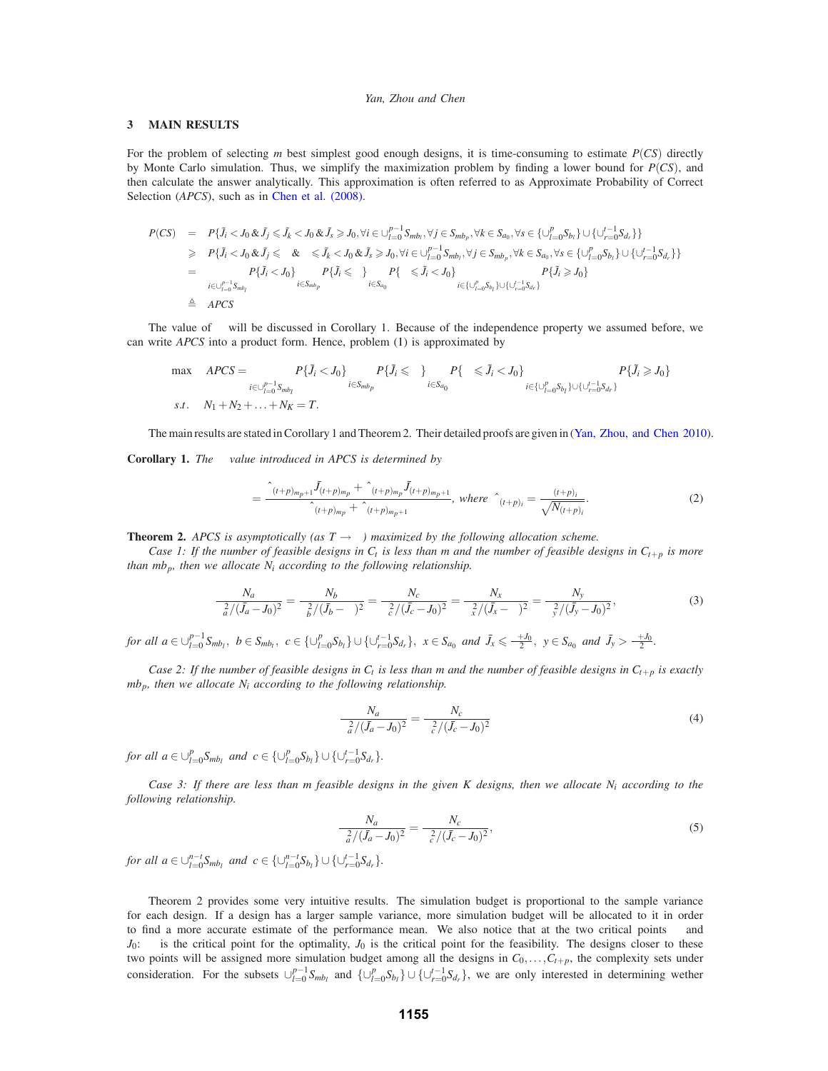### **3 MAIN RESULTS**

For the problem of selecting *m* best simplest good enough designs, it is time-consuming to estimate *P*(*CS*) directly by Monte Carlo simulation. Thus, we simplify the maximization problem by finding a lower bound for *P*(*CS*), and then calculate the answer analytically. This approximation is often referred to as Approximate Probability of Correct Selection (*APCS*), such as in Chen et al. (2008).

$$
P(CS) = P\{\tilde{J}_i < J_0 \& \tilde{J}_j \leq \tilde{J}_k < J_0 \& \tilde{J}_s \geq J_0, \forall i \in \bigcup_{l=0}^{p-1} S_{m b_l}, \forall j \in S_{m b_p}, \forall k \in S_{a_0}, \forall s \in \{\bigcup_{l=0}^p S_{b_l}\} \cup \{\bigcup_{r=0}^{t-1} S_{d_r}\}\}
$$
\n
$$
\geq P\{\tilde{J}_i < J_0 \& \tilde{J}_j \leq \mu \& \mu \leq \tilde{J}_k < J_0 \& \tilde{J}_s \geq J_0, \forall i \in \bigcup_{l=0}^{p-1} S_{m b_l}, \forall j \in S_{m b_p}, \forall k \in S_{a_0}, \forall s \in \{\bigcup_{l=0}^p S_{b_l}\} \cup \{\bigcup_{r=0}^{t-1} S_{d_r}\}\}
$$
\n
$$
= \prod_{i \in \bigcup_{l=0}^{p-1} S_{m b_l}} P\{\tilde{J}_i < J_0\} \prod_{i \in S_{m b_p}} P\{\tilde{J}_i \leq \mu\} \prod_{i \in S_{a_0}} P\{\mu \leq \tilde{J}_i < J_0\} \prod_{i \in \bigcup_{l=0}^p S_{b_l}\} \cup \{\bigcup_{r=0}^{t-1} S_{d_r}\}
$$
\n
$$
\triangleq APCS
$$

The value of  $\mu$  will be discussed in Corollary 1. Because of the independence property we assumed before, we can write *APCS* into a product form. Hence, problem (1) is approximated by

$$
\max \quad APCS = \prod_{i \in \bigcup_{l=0}^{p-1} S_{m b_l}} P\{\tilde{J}_i < J_0\} \prod_{i \in S_{m b_p}} P\{\tilde{J}_i \le \mu\} \prod_{i \in S_{a_0}} P\{\mu \le \tilde{J}_i < J_0\} \prod_{i \in \bigcup_{l=0}^{p} S_{b_l}\big} \cup \bigcup_{i \in \bigcup_{r=0}^{l-1} S_{d_r}\big} P\{\tilde{J}_i \ge J_0\}
$$
\n
$$
s.t. \quad N_1 + N_2 + \ldots + N_K = T.
$$

The main results are stated in Corollary 1 and Theorem 2. Their detailed proofs are given in (Yan, Zhou, and Chen 2010).

**Corollary 1.** *The* <sup>µ</sup> *value introduced in APCS is determined by*

$$
\mu = \frac{\hat{\sigma}_{(t+p)_{m_p+1}} \bar{J}_{(t+p)_{m_p}} + \hat{\sigma}_{(t+p)_{m_p}} \bar{J}_{(t+p)_{m_p+1}}}{\hat{\sigma}_{(t+p)_{m_p}} + \hat{\sigma}_{(t+p)_{m_p+1}}}, \text{ where } \hat{\sigma}_{(t+p)_i} = \frac{\sigma_{(t+p)_i}}{\sqrt{N_{(t+p)_i}}}.
$$
\n(2)

**Theorem 2.** *APCS is asymptotically (as T*  $\rightarrow \infty$ *) maximized by the following allocation scheme.* 

*Case 1: If the number of feasible designs in*  $C_t$  *is less than m and the number of feasible designs in*  $C_{t+p}$  *is more than mb<sub>p</sub>, then we allocate*  $N_i$  *according to the following relationship.* 

$$
\frac{N_a}{\sigma_a^2/(\bar{J}_a - J_0)^2} = \frac{N_b}{\sigma_b^2/(\bar{J}_b - \mu)^2} = \frac{N_c}{\sigma_c^2/(\bar{J}_c - J_0)^2} = \frac{N_x}{\sigma_x^2/(\bar{J}_x - \mu)^2} = \frac{N_y}{\sigma_y^2/(\bar{J}_y - J_0)^2},
$$
(3)

for all  $a \in \bigcup_{l=0}^{p-1} S_{m b_l}$ ,  $b \in S_{m b_l}$ ,  $c \in \{\bigcup_{l=0}^p S_{b_l}\} \cup \{\bigcup_{r=0}^{t-1} S_{d_r}\}$ ,  $x \in S_{a_0}$  and  $J_x \le \frac{\mu + J_0}{2}$ ,  $y \in S_{a_0}$  and  $J_y > \frac{\mu + J_0}{2}$ .

*Case 2: If the number of feasible designs in*  $C_t$  *is less than m and the number of feasible designs in*  $C_{t+p}$  *is exactly mbp, then we allocate Ni according to the following relationship.*

$$
\frac{N_a}{\sigma_a^2/(\bar{J}_a - J_0)^2} = \frac{N_c}{\sigma_c^2/(\bar{J}_c - J_0)^2}
$$
(4)

*for all*  $a \in \bigcup_{l=0}^{p} S_{mb_l}$  *and*  $c \in {\bigcup_{l=0}^{p} S_{b_l}} \cup {\bigcup_{r=0}^{t-1} S_{d_r}}.$ 

*Case 3: If there are less than m feasible designs in the given K designs, then we allocate Ni according to the following relationship.*

$$
\frac{N_a}{\sigma_a^2/(\bar{J}_a - J_0)^2} = \frac{N_c}{\sigma_c^2/(\bar{J}_c - J_0)^2},\tag{5}
$$

*for all a*  $\in \bigcup_{l=0}^{n-t} S_{mb_l}$  *and*  $c \in \{\bigcup_{l=0}^{n-t} S_{b_l}\} \cup \{\bigcup_{r=0}^{t-1} S_{d_r}\}.$ 

Theorem 2 provides some very intuitive results. The simulation budget is proportional to the sample variance for each design. If a design has a larger sample variance, more simulation budget will be allocated to it in order to find a more accurate estimate of the performance mean. We also notice that at the two critical points  $\mu$  and  $J_0$ :  $\mu$  is the critical point for the optimality,  $J_0$  is the critical point for the feasibility. The designs closer to these two points will be assigned more simulation budget among all the designs in  $C_0, \ldots, C_{t+p}$ , the complexity sets under consideration. For the subsets  $\bigcup_{l=0}^{p-1} S_{m b_l}$  and  $\{\bigcup_{l=0}^{p} S_{b_l}\}\cup \{\bigcup_{r=0}^{t-1} S_{d_r}\}\$ , we are only interested in determining wether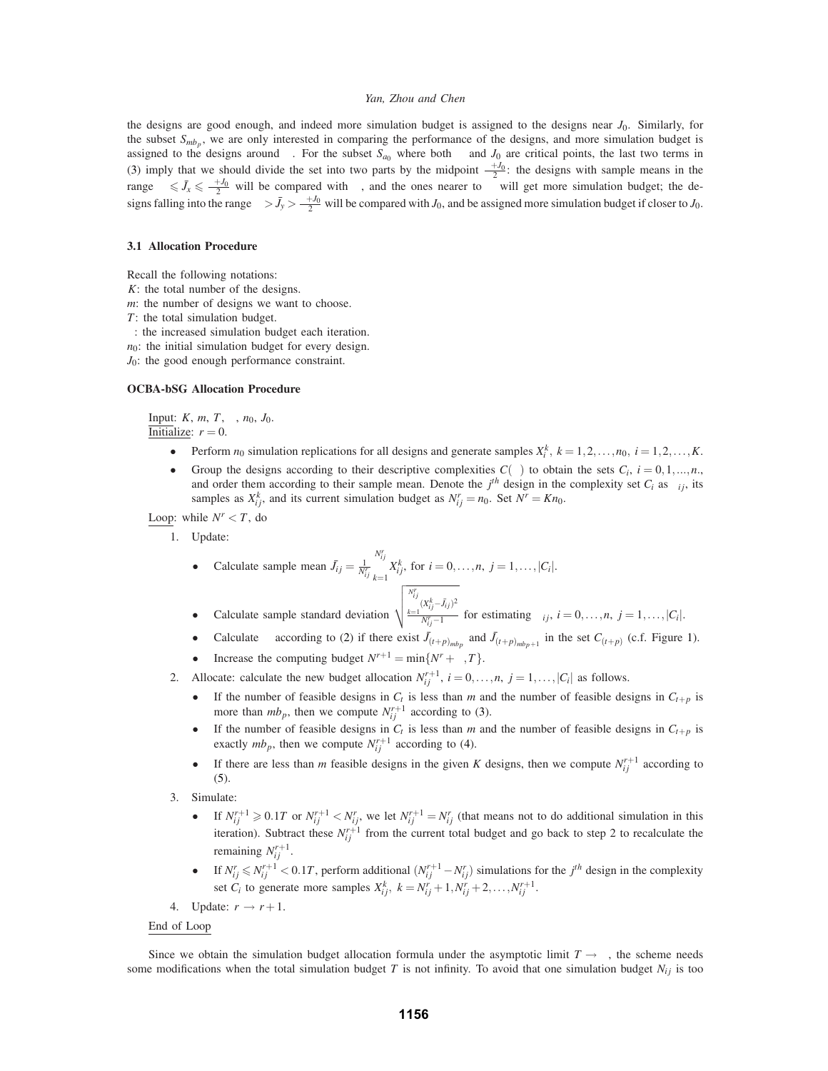the designs are good enough, and indeed more simulation budget is assigned to the designs near *J*0. Similarly, for the subset  $S_{mbp}$ , we are only interested in comparing the performance of the designs, and more simulation budget is assigned to the designs around  $\mu$ . For the subset  $S_{a_0}$  where both  $\mu$  and  $J_0$  are critical points, the last two terms in (3) imply that we should divide the set into two parts by the midpoint  $\frac{\mu+J_0}{2}$ : the designs with sample means in the range  $\mu \leq \bar{J}_x \leq \frac{\mu + J_0}{2}$  will be compared with  $\mu$ , and the ones nearer to  $\mu$  will get more simulation budget; the designs falling into the range  $\mu > \bar{J}_y > \frac{\mu + J_0}{2}$  will be compared with *J*<sub>0</sub>, and be assigned more simulation budget if closer to *J*<sub>0</sub>.

#### **3.1 Allocation Procedure**

Recall the following notations:

- *K*: the total number of the designs.
- *m*: the number of designs we want to choose.
- *T*: the total simulation budget.
- ∆: the increased simulation budget each iteration.
- $n_0$ : the initial simulation budget for every design.
- *J*<sub>0</sub>: the good enough performance constraint.

#### **OCBA-bSG Allocation Procedure**

Input: *K*, *m*, *T*, ∆, *n*0, *J*0. Initialize:  $r = 0$ .

- Perform  $n_0$  simulation replications for all designs and generate samples  $X_i^k$ ,  $k = 1, 2, ..., n_0$ ,  $i = 1, 2, ..., K$ .
- Group the designs according to their descriptive complexities  $C(\theta)$  to obtain the sets  $C_i$ ,  $i = 0, 1, ..., n$ . and order them according to their sample mean. Denote the  $j<sup>th</sup>$  design in the complexity set  $C_i$  as  $\theta_{ij}$ , its samples as  $X_{ij}^k$ , and its current simulation budget as  $N_{ij}^r = n_0$ . Set  $N^r = Kn_0$ .

Loop: while  $N^r < T$ , do

1. Update:

• Calculate sample mean 
$$
\bar{J}_{ij} = \frac{1}{N_{ij}^r} \sum_{k=1}^{N_{ij}^r} X_{ij}^k
$$
, for  $i = 0, \ldots, n, j = 1, \ldots, |C_i|$ .

- Calculate sample standard deviation  $\sqrt{\sum_{k=1}^{N_{ij}^{r}} (X_{ij}^{k} \bar{J}_{ij})^2}$  $\frac{N_i}{N_i}-1$  for estimating  $\sigma_{ij}$ ,  $i=0,\ldots,n$ ,  $j=1,\ldots,|C_i|$ .
- Calculate  $\mu$  according to (2) if there exist  $\bar{J}_{(t+p)_{mbp}}$  and  $\bar{J}_{(t+p)_{mbp+1}}$  in the set  $C_{(t+p)}$  (c.f. Figure 1).
- Increase the computing budget  $N^{r+1} = \min\{N^r + \Delta, T\}.$
- 2. Allocate: calculate the new budget allocation  $N_{ij}^{r+1}$ ,  $i = 0, \ldots, n$ ,  $j = 1, \ldots, |C_i|$  as follows.
	- If the number of feasible designs in  $C_t$  is less than *m* and the number of feasible designs in  $C_{t+p}$  is more than  $mb_p$ , then we compute  $N^{r+1}_{ij}$  according to (3).
	- If the number of feasible designs in  $C_t$  is less than *m* and the number of feasible designs in  $C_{t+p}$  is exactly  $mb_p$ , then we compute  $N^{r+1}_{ij}$  according to (4).
	- If there are less than *m* feasible designs in the given *K* designs, then we compute  $N_{ij}^{r+1}$  according to (5).
- 3. Simulate:
	- If  $N_{ij}^{r+1} \ge 0.1T$  or  $N_{ij}^{r+1} < N_{ij}^r$ , we let  $N_{ij}^{r+1} = N_{ij}^r$  (that means not to do additional simulation in this iteration). Subtract these  $N_{ij}^{r+1}$  from the current total budget and go back to step 2 to recalculate the remaining  $N^{r+1}_{ii}$ .
	- **•** If  $N_{ij}^r \le N_{ij}^{r+1} < 0.1T$ , perform additional  $(N_{ij}^{r+1} N_{ij}^r)$  simulations for the *j*<sup>th</sup> design in the complexity set *C<sub>i</sub>* to generate more samples  $X_{ij}^k$ ,  $k = N_{ij}^r + 1, N_{ij}^r + 2, ..., N_{ij}^{r+1}$ .
- 4. Update:  $r \rightarrow r+1$ .

#### End of Loop

Since we obtain the simulation budget allocation formula under the asymptotic limit  $T \rightarrow \infty$ , the scheme needs some modifications when the total simulation budget  $T$  is not infinity. To avoid that one simulation budget  $N_{ij}$  is too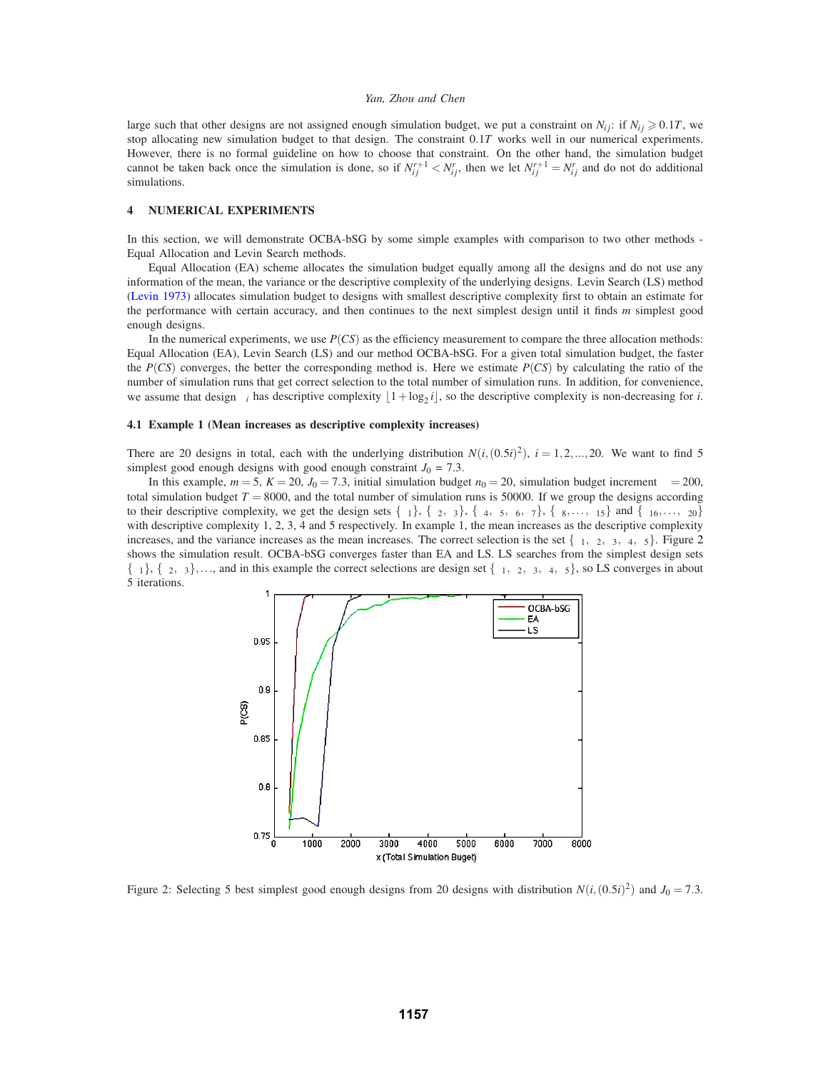large such that other designs are not assigned enough simulation budget, we put a constraint on  $N_{ij}$ : if  $N_{ij} \ge 0.1T$ , we stop allocating new simulation budget to that design. The constraint 0.1*T* works well in our numerical experiments. However, there is no formal guideline on how to choose that constraint. On the other hand, the simulation budget cannot be taken back once the simulation is done, so if  $N_{ij}^{r+1} < N_{ij}^r$ , then we let  $N_{ij}^{r+1} = N_{ij}^r$  and do not do additional simulations.

## **4 NUMERICAL EXPERIMENTS**

In this section, we will demonstrate OCBA-bSG by some simple examples with comparison to two other methods - Equal Allocation and Levin Search methods.

Equal Allocation (EA) scheme allocates the simulation budget equally among all the designs and do not use any information of the mean, the variance or the descriptive complexity of the underlying designs. Levin Search (LS) method (Levin 1973) allocates simulation budget to designs with smallest descriptive complexity first to obtain an estimate for the performance with certain accuracy, and then continues to the next simplest design until it finds *m* simplest good enough designs.

In the numerical experiments, we use *P*(*CS*) as the efficiency measurement to compare the three allocation methods: Equal Allocation (EA), Levin Search (LS) and our method OCBA-bSG. For a given total simulation budget, the faster the *P(CS)* converges, the better the corresponding method is. Here we estimate  $P(CS)$  by calculating the ratio of the number of simulation runs that get correct selection to the total number of simulation runs. In addition, for convenience, we assume that design  $\theta_i$  has descriptive complexity  $|1 + \log_2 i|$ , so the descriptive complexity is non-decreasing for *i*.

### **4.1 Example 1 (Mean increases as descriptive complexity increases)**

There are 20 designs in total, each with the underlying distribution  $N(i,(0.5i)^2)$ ,  $i = 1,2,...,20$ . We want to find 5 simplest good enough designs with good enough constraint  $J_0 = 7.3$ .

In this example,  $m = 5$ ,  $K = 20$ ,  $J_0 = 7.3$ , initial simulation budget  $n_0 = 20$ , simulation budget increment  $\Delta = 200$ , total simulation budget  $T = 8000$ , and the total number of simulation runs is 50000. If we group the designs according to their descriptive complexity, we get the design sets  $\{\theta_1\}$ ,  $\{\theta_2, \theta_3\}$ ,  $\{\theta_4, \theta_5, \theta_6, \theta_7\}$ ,  $\{\theta_8, \dots, \theta_{15}\}$  and  $\{\theta_{16}, \dots, \theta_{20}\}$ with descriptive complexity 1, 2, 3, 4 and 5 respectively. In example 1, the mean increases as the descriptive complexity increases, and the variance increases as the mean increases. The correct selection is the set  $\{\theta_1, \theta_2, \theta_3, \theta_4, \theta_5\}$ . Figure 2 shows the simulation result. OCBA-bSG converges faster than EA and LS. LS searches from the simplest design sets  $\{\theta_1\}, \{\theta_2, \theta_3\},\ldots$ , and in this example the correct selections are design set  $\{\theta_1, \theta_2, \theta_3, \theta_4, \theta_5\}$ , so LS converges in about 5 iterations.



Figure 2: Selecting 5 best simplest good enough designs from 20 designs with distribution  $N(i, (0.5i)^2)$  and  $J_0 = 7.3$ .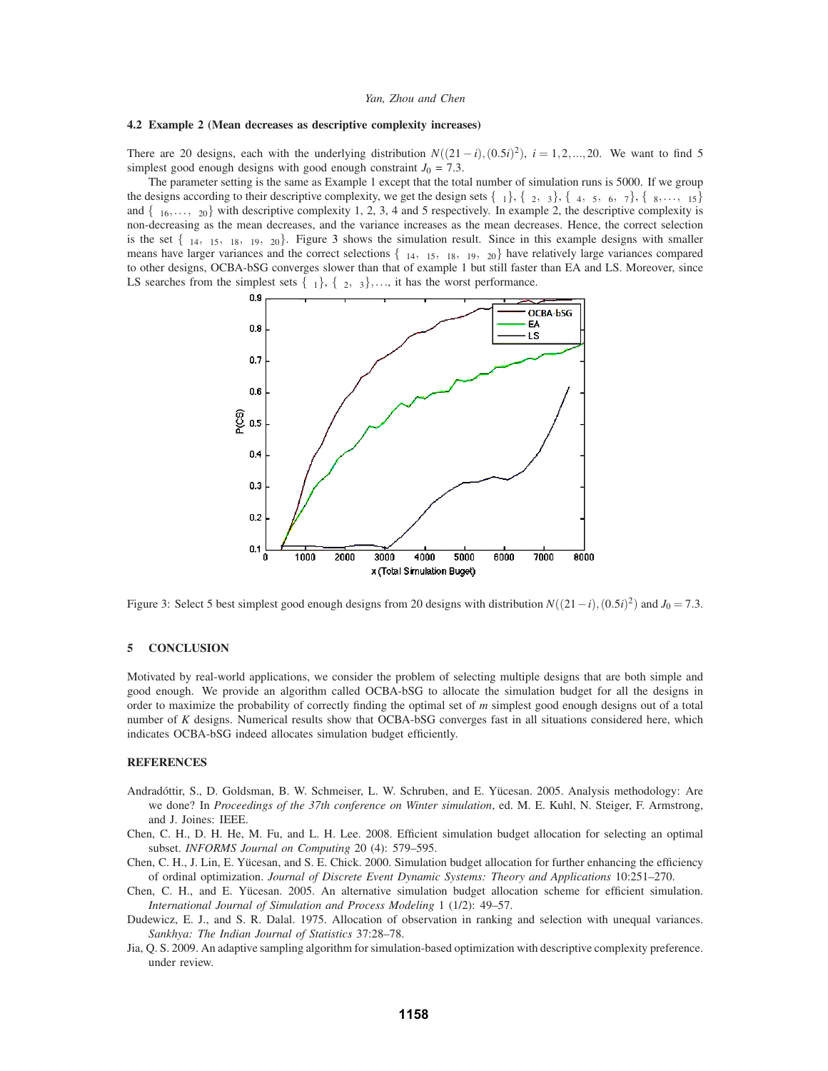## **4.2 Example 2 (Mean decreases as descriptive complexity increases)**

There are 20 designs, each with the underlying distribution  $N((21-i),(0.5i)^2)$ ,  $i = 1,2,...,20$ . We want to find 5 simplest good enough designs with good enough constraint  $J_0 = 7.3$ .

The parameter setting is the same as Example 1 except that the total number of simulation runs is 5000. If we group the designs according to their descriptive complexity, we get the design sets  $\{\theta_1\}$ ,  $\{\theta_2, \theta_3\}$ ,  $\{\theta_4, \theta_5, \theta_6, \theta_7\}$ ,  $\{\theta_8, \ldots, \theta_{15}\}$ and  $\{\theta_{16},\ldots,\theta_{20}\}\$  with descriptive complexity 1, 2, 3, 4 and 5 respectively. In example 2, the descriptive complexity is non-decreasing as the mean decreases, and the variance increases as the mean decreases. Hence, the correct selection is the set  $\{\theta_{14}, \theta_{15}, \theta_{18}, \theta_{19}, \theta_{20}\}$ . Figure 3 shows the simulation result. Since in this example designs with smaller means have larger variances and the correct selections  $\{\theta_{14}, \theta_{15}, \theta_{18}, \theta_{19}, \theta_{20}\}\$  have relatively large variances compared to other designs, OCBA-bSG converges slower than that of example 1 but still faster than EA and LS. Moreover, since LS searches from the simplest sets  $\{\theta_1\}$ ,  $\{\theta_2, \theta_3\}$ ,..., it has the worst performance.



Figure 3: Select 5 best simplest good enough designs from 20 designs with distribution  $N((21-i),(0.5i)^2)$  and  $J_0 = 7.3$ .

### **5 CONCLUSION**

Motivated by real-world applications, we consider the problem of selecting multiple designs that are both simple and good enough. We provide an algorithm called OCBA-bSG to allocate the simulation budget for all the designs in order to maximize the probability of correctly finding the optimal set of *m* simplest good enough designs out of a total number of *K* designs. Numerical results show that OCBA-bSG converges fast in all situations considered here, which indicates OCBA-bSG indeed allocates simulation budget efficiently.

### **REFERENCES**

- Andradóttir, S., D. Goldsman, B. W. Schmeiser, L. W. Schruben, and E. Yücesan. 2005. Analysis methodology: Are we done? In *Proceedings of the 37th conference on Winter simulation*, ed. M. E. Kuhl, N. Steiger, F. Armstrong, and J. Joines: IEEE.
- Chen, C. H., D. H. He, M. Fu, and L. H. Lee. 2008. Efficient simulation budget allocation for selecting an optimal subset. *INFORMS Journal on Computing* 20 (4): 579–595.
- Chen, C. H., J. Lin, E. Yucesan, and S. E. Chick. 2000. Simulation budget allocation for further enhancing the efficiency ¨ of ordinal optimization. *Journal of Discrete Event Dynamic Systems: Theory and Applications* 10:251–270.
- Chen, C. H., and E. Yucesan. 2005. An alternative simulation budget allocation scheme for efficient simulation. ¨ *International Journal of Simulation and Process Modeling* 1 (1/2): 49–57.
- Dudewicz, E. J., and S. R. Dalal. 1975. Allocation of observation in ranking and selection with unequal variances. *Sankhya: The Indian Journal of Statistics* 37:28–78.
- Jia, Q. S. 2009. An adaptive sampling algorithm for simulation-based optimization with descriptive complexity preference. under review.